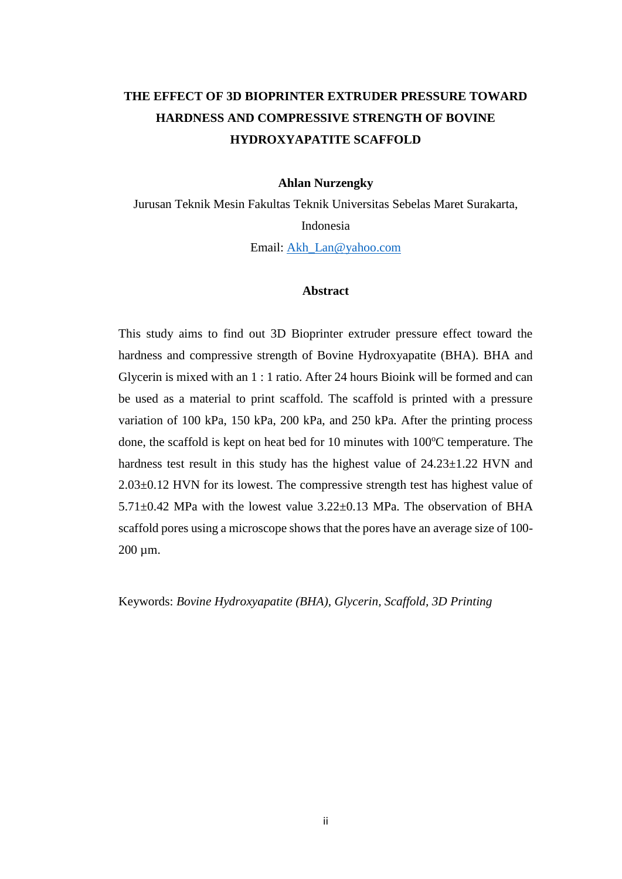## **THE EFFECT OF 3D BIOPRINTER EXTRUDER PRESSURE TOWARD HARDNESS AND COMPRESSIVE STRENGTH OF BOVINE HYDROXYAPATITE SCAFFOLD**

### **Ahlan Nurzengky**

Jurusan Teknik Mesin Fakultas Teknik Universitas Sebelas Maret Surakarta, Indonesia Email: [Akh\\_Lan@yahoo.com](mailto:Akh_Lan@yahoo.com)

## **Abstract**

This study aims to find out 3D Bioprinter extruder pressure effect toward the hardness and compressive strength of Bovine Hydroxyapatite (BHA). BHA and Glycerin is mixed with an 1 : 1 ratio. After 24 hours Bioink will be formed and can be used as a material to print scaffold. The scaffold is printed with a pressure variation of 100 kPa, 150 kPa, 200 kPa, and 250 kPa. After the printing process done, the scaffold is kept on heat bed for 10 minutes with  $100^{\circ}$ C temperature. The hardness test result in this study has the highest value of  $24.23 \pm 1.22$  HVN and 2.03±0.12 HVN for its lowest. The compressive strength test has highest value of 5.71±0.42 MPa with the lowest value 3.22±0.13 MPa. The observation of BHA scaffold pores using a microscope shows that the pores have an average size of 100- 200 µm.

Keywords: *Bovine Hydroxyapatite (BHA), Glycerin, Scaffold, 3D Printing*